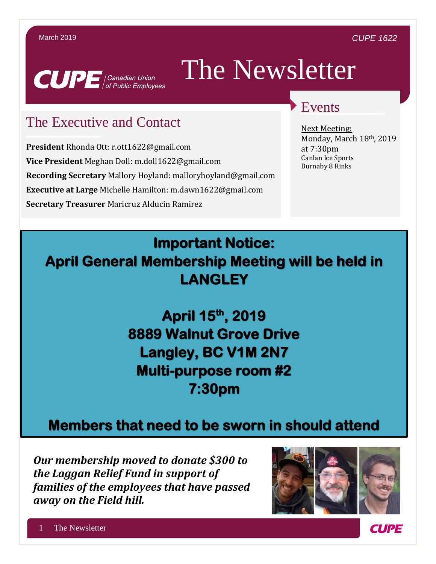

# The Newsletter

# The Executive and Contact

**President** Rhonda Ott: r.ott1622@gmail.com **Vice President** Meghan Doll: m.doll1622@gmail.com **Recording Secretary** Mallory Hoyland: malloryhoyland@gmail.com **Executive at Large** Michelle Hamilton: m.dawn1622@gmail.com **Secretary Treasurer** Maricruz Alducin Ramirez

# Events

Next Meeting: Monday, March 18th, 2019 at 7:30pm Canlan Ice Sports Burnaby 8 Rinks

# **Important Notice: April General Membership Meeting will be held in LANGLEY**

**April 15th, 2019 8889 Walnut Grove Drive Langley, BC V1M 2N7 Multi-purpose room #2 7:30pm** 

# **Members that need to be sworn in should attend**

*Our membership moved to donate \$300 to the Laggan Relief Fund in support of families of the employees that have passed away on the Field hill.*



**CUPE**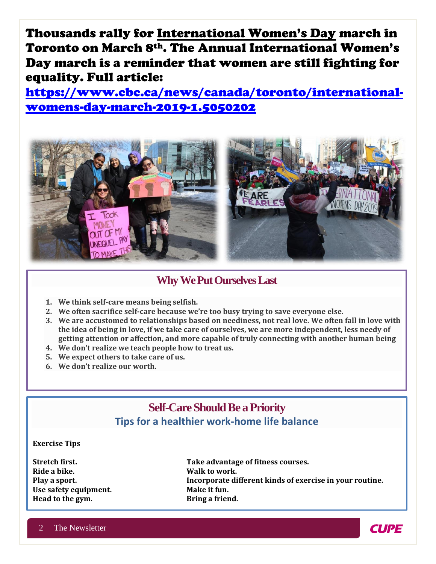Thousands rally for International Women's Day march in Toronto on March 8th. The Annual International Women's Day march is a reminder that women are still fighting for equality. Full article:

[https://www.cbc.ca/news/canada/toronto/international](https://www.cbc.ca/news/canada/toronto/international-womens-day-march-2019-1.5050202)[womens-day-march-2019-1.5050202](https://www.cbc.ca/news/canada/toronto/international-womens-day-march-2019-1.5050202)



## **Why We Put Ourselves Last**

- **1. We think self-care means being selfish.**
- **2. We often sacrifice self-care because we're too busy trying to save everyone else.**
- **3. We are accustomed to relationships based on neediness, not real love. We often fall in love with the idea of being in love, if we take care of ourselves, we are more independent, less needy of getting attention or affection, and more capable of truly connecting with another human being**
- **4. We don't realize we teach people how to treat us.**
- **5. We expect others to take care of us.**
- **6. We don't realize our worth.**

# **Self-Care Should Be a Priority Tips for a healthier work-home life balance**

#### **Exercise Tips**

**Ride a bike. Walk to work.** Use safety equipment. Make it fun. **Head to the gym. Bring a friend.** 

**Stretch first. Take advantage of fitness courses. Play a sport. Incorporate different kinds of exercise in your routine.**